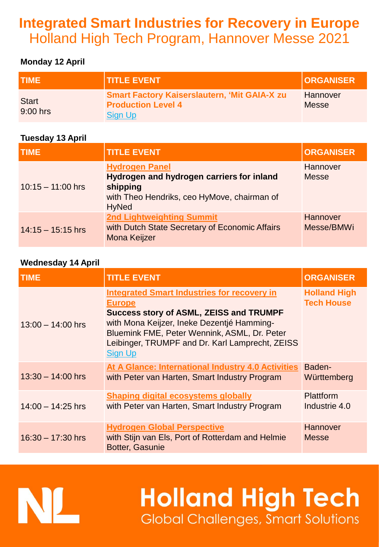# **Integrated Smart Industries for Recovery in Europe**  Holland High Tech Program, Hannover Messe 2021

### **Monday 12 April**

| <b>TIME</b>              | <b>TITLE EVENT</b>                                                                                 | <b>ORGANISER</b>  |
|--------------------------|----------------------------------------------------------------------------------------------------|-------------------|
| <b>Start</b><br>9:00 hrs | <b>Smart Factory Kaiserslautern, 'Mit GAIA-X zu</b><br><b>Production Level 4</b><br><b>Sign Up</b> | Hannover<br>Messe |

### **Tuesday 13 April**

| <b>TIME</b>         | <b>TITLE EVENT</b>                                                                                                                            | <b>ORGANISER</b>         |
|---------------------|-----------------------------------------------------------------------------------------------------------------------------------------------|--------------------------|
| $10:15 - 11:00$ hrs | <b>Hydrogen Panel</b><br>Hydrogen and hydrogen carriers for inland<br>shipping<br>with Theo Hendriks, ceo HyMove, chairman of<br><b>HyNed</b> | Hannover<br><b>Messe</b> |
| $14:15 - 15:15$ hrs | <b>2nd Lightweighting Summit</b><br>with Dutch State Secretary of Economic Affairs<br><b>Mona Keijzer</b>                                     | Hannover<br>Messe/BMWi   |

### **Wednesday 14 April**

| TIME                | <b>TITLE EVENT</b>                                                                                                                                                                                                                                                                       | <b>ORGANISER</b>                         |
|---------------------|------------------------------------------------------------------------------------------------------------------------------------------------------------------------------------------------------------------------------------------------------------------------------------------|------------------------------------------|
| $13:00 - 14:00$ hrs | <b>Integrated Smart Industries for recovery in</b><br><b>Europe</b><br><b>Success story of ASML, ZEISS and TRUMPF</b><br>with Mona Keijzer, Ineke Dezentjé Hamming-<br>Bluemink FME, Peter Wennink, ASML, Dr. Peter<br>Leibinger, TRUMPF and Dr. Karl Lamprecht, ZEISS<br><b>Sign Up</b> | <b>Holland High</b><br><b>Tech House</b> |
| $13:30 - 14:00$ hrs | At A Glance: International Industry 4.0 Activities<br>with Peter van Harten, Smart Industry Program                                                                                                                                                                                      | Baden-<br>Württemberg                    |
| $14:00 - 14:25$ hrs | <b>Shaping digital ecosystems globally</b><br>with Peter van Harten, Smart Industry Program                                                                                                                                                                                              | <b>Plattform</b><br>Industrie 4.0        |
| $16:30 - 17:30$ hrs | <b>Hydrogen Global Perspective</b><br>with Stijn van Els, Port of Rotterdam and Helmie<br><b>Botter, Gasunie</b>                                                                                                                                                                         | Hannover<br><b>Messe</b>                 |

# **Holland High Tech Global Challenges, Smart Solutions**